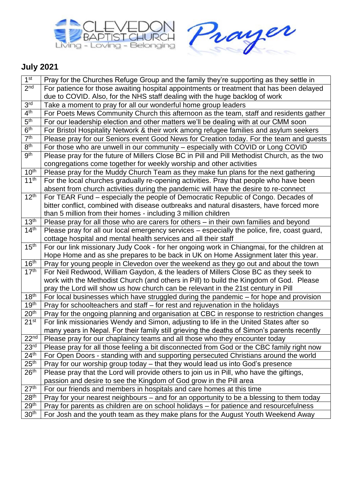



## **July 2021**

| 1 <sup>st</sup>              | Pray for the Churches Refuge Group and the family they're supporting as they settle in                                                                                                |
|------------------------------|---------------------------------------------------------------------------------------------------------------------------------------------------------------------------------------|
| 2 <sub>nd</sub>              | For patience for those awaiting hospital appointments or treatment that has been delayed                                                                                              |
|                              | due to COVID. Also, for the NHS staff dealing with the huge backlog of work                                                                                                           |
| 3 <sup>rd</sup>              | Take a moment to pray for all our wonderful home group leaders                                                                                                                        |
| 4 <sup>th</sup>              | For Poets Mews Community Church this afternoon as the team, staff and residents gather                                                                                                |
| 5 <sup>th</sup>              | For our leadership election and other matters we'll be dealing with at our CMM soon                                                                                                   |
| 6 <sup>th</sup>              | For Bristol Hospitality Network & their work among refugee families and asylum seekers                                                                                                |
| $\overline{7}$ <sup>th</sup> | Please pray for our Seniors event Good News for Creation today. For the team and guests                                                                                               |
| 8 <sup>th</sup>              | For those who are unwell in our community - especially with COVID or Long COVID                                                                                                       |
| <b>gth</b>                   | Please pray for the future of Millers Close BC in Pill and Pill Methodist Church, as the two                                                                                          |
|                              | congregations come together for weekly worship and other activities                                                                                                                   |
| 10 <sup>th</sup>             | Please pray for the Muddy Church Team as they make fun plans for the next gathering                                                                                                   |
| 11 <sup>th</sup>             | For the local churches gradually re-opening activities. Pray that people who have been                                                                                                |
|                              | absent from church activities during the pandemic will have the desire to re-connect                                                                                                  |
| 12 <sup>th</sup>             | For TEAR Fund – especially the people of Democratic Republic of Congo. Decades of                                                                                                     |
|                              | bitter conflict, combined with disease outbreaks and natural disasters, have forced more                                                                                              |
|                              | than 5 million from their homes - including 3 million children                                                                                                                        |
| 13 <sup>th</sup>             | Please pray for all those who are carers for others - in their own families and beyond                                                                                                |
| 14 <sup>th</sup>             | Please pray for all our local emergency services - especially the police, fire, coast guard,                                                                                          |
|                              | cottage hospital and mental health services and all their staff                                                                                                                       |
| 15 <sup>th</sup>             | For our link missionary Judy Cook - for her ongoing work in Chiangmai, for the children at                                                                                            |
|                              | Hope Home and as she prepares to be back in UK on Home Assignment later this year.                                                                                                    |
| 16 <sup>th</sup>             | Pray for young people in Clevedon over the weekend as they go out and about the town                                                                                                  |
| 17 <sup>th</sup>             | For Neil Redwood, William Gaydon, & the leaders of Millers Close BC as they seek to                                                                                                   |
|                              | work with the Methodist Church (and others in Pill) to build the Kingdom of God. Please                                                                                               |
| 18 <sup>th</sup>             | pray the Lord will show us how church can be relevant in the 21st century in Pill                                                                                                     |
| 19 <sup>th</sup>             | For local businesses which have struggled during the pandemic – for hope and provision                                                                                                |
| 20 <sup>th</sup>             | Pray for schoolteachers and staff - for rest and rejuvenation in the holidays                                                                                                         |
| 21 <sup>st</sup>             | Pray for the ongoing planning and organisation at CBC in response to restriction changes                                                                                              |
|                              | For link missionaries Wendy and Simon, adjusting to life in the United States after so<br>many years in Nepal. For their family still grieving the deaths of Simon's parents recently |
| 22 <sup>nd</sup>             | Please pray for our chaplaincy teams and all those who they encounter today                                                                                                           |
| 23 <sup>rd</sup>             | Please pray for all those feeling a bit disconnected from God or the CBC family right now                                                                                             |
| 24 <sup>th</sup>             | For Open Doors - standing with and supporting persecuted Christians around the world                                                                                                  |
| 25 <sup>th</sup>             | Pray for our worship group today - that they would lead us into God's presence                                                                                                        |
| 26 <sup>th</sup>             | Please pray that the Lord will provide others to join us in Pill, who have the giftings,                                                                                              |
|                              | passion and desire to see the Kingdom of God grow in the Pill area                                                                                                                    |
| 27 <sup>th</sup>             | For our friends and members in hospitals and care homes at this time                                                                                                                  |
| 28 <sup>th</sup>             | Pray for your nearest neighbours – and for an opportunity to be a blessing to them today                                                                                              |
| 29 <sup>th</sup>             | Pray for parents as children are on school holidays - for patience and resourcefulness                                                                                                |
| 30 <sup>th</sup>             | For Josh and the youth team as they make plans for the August Youth Weekend Away                                                                                                      |